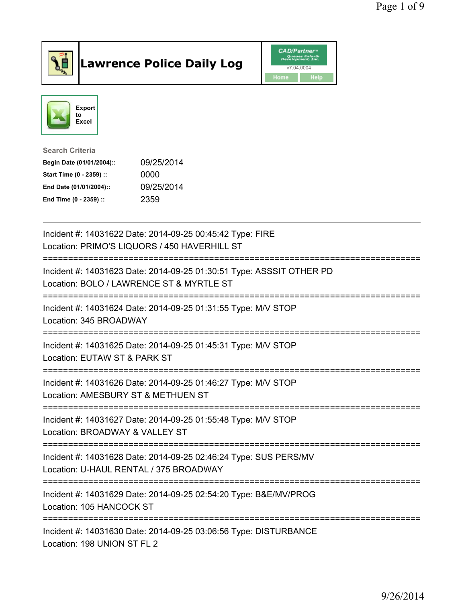

## Lawrence Police Daily Log **Daniel CAD/Partner**





Search Criteria Begin Date (01/01/2004):: 09/25/2014 Start Time (0 - 2359) :: 0000 End Date (01/01/2004):: 09/25/2014 End Time (0 - 2359) :: 2359

| Incident #: 14031622 Date: 2014-09-25 00:45:42 Type: FIRE<br>Location: PRIMO'S LIQUORS / 450 HAVERHILL ST                                  |
|--------------------------------------------------------------------------------------------------------------------------------------------|
| Incident #: 14031623 Date: 2014-09-25 01:30:51 Type: ASSSIT OTHER PD<br>Location: BOLO / LAWRENCE ST & MYRTLE ST<br>---------------------- |
| Incident #: 14031624 Date: 2014-09-25 01:31:55 Type: M/V STOP<br>Location: 345 BROADWAY                                                    |
| Incident #: 14031625 Date: 2014-09-25 01:45:31 Type: M/V STOP<br>Location: EUTAW ST & PARK ST                                              |
| Incident #: 14031626 Date: 2014-09-25 01:46:27 Type: M/V STOP<br>Location: AMESBURY ST & METHUEN ST                                        |
| Incident #: 14031627 Date: 2014-09-25 01:55:48 Type: M/V STOP<br>Location: BROADWAY & VALLEY ST                                            |
| Incident #: 14031628 Date: 2014-09-25 02:46:24 Type: SUS PERS/MV<br>Location: U-HAUL RENTAL / 375 BROADWAY                                 |
| Incident #: 14031629 Date: 2014-09-25 02:54:20 Type: B&E/MV/PROG<br>Location: 105 HANCOCK ST                                               |
| Incident #: 14031630 Date: 2014-09-25 03:06:56 Type: DISTURBANCE<br>Location: 198 UNION ST FL 2                                            |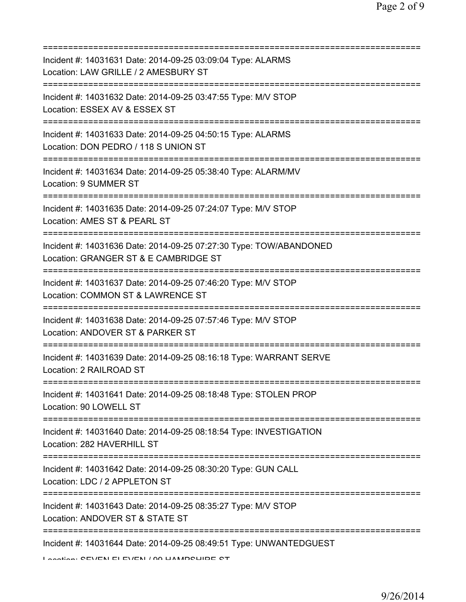| Incident #: 14031631 Date: 2014-09-25 03:09:04 Type: ALARMS<br>Location: LAW GRILLE / 2 AMESBURY ST              |
|------------------------------------------------------------------------------------------------------------------|
| Incident #: 14031632 Date: 2014-09-25 03:47:55 Type: M/V STOP<br>Location: ESSEX AV & ESSEX ST                   |
| Incident #: 14031633 Date: 2014-09-25 04:50:15 Type: ALARMS<br>Location: DON PEDRO / 118 S UNION ST              |
| Incident #: 14031634 Date: 2014-09-25 05:38:40 Type: ALARM/MV<br><b>Location: 9 SUMMER ST</b>                    |
| Incident #: 14031635 Date: 2014-09-25 07:24:07 Type: M/V STOP<br>Location: AMES ST & PEARL ST                    |
| Incident #: 14031636 Date: 2014-09-25 07:27:30 Type: TOW/ABANDONED<br>Location: GRANGER ST & E CAMBRIDGE ST      |
| Incident #: 14031637 Date: 2014-09-25 07:46:20 Type: M/V STOP<br>Location: COMMON ST & LAWRENCE ST               |
| Incident #: 14031638 Date: 2014-09-25 07:57:46 Type: M/V STOP<br>Location: ANDOVER ST & PARKER ST                |
| Incident #: 14031639 Date: 2014-09-25 08:16:18 Type: WARRANT SERVE<br>Location: 2 RAILROAD ST                    |
| Incident #: 14031641 Date: 2014-09-25 08:18:48 Type: STOLEN PROP<br>Location: 90 LOWELL ST                       |
| Incident #: 14031640 Date: 2014-09-25 08:18:54 Type: INVESTIGATION<br>Location: 282 HAVERHILL ST                 |
| Incident #: 14031642 Date: 2014-09-25 08:30:20 Type: GUN CALL<br>Location: LDC / 2 APPLETON ST                   |
| Incident #: 14031643 Date: 2014-09-25 08:35:27 Type: M/V STOP<br>Location: ANDOVER ST & STATE ST                 |
| Incident #: 14031644 Date: 2014-09-25 08:49:51 Type: UNWANTEDGUEST<br>Looption: CEVENLELEVENLI OO LIAMDOLIIDE OT |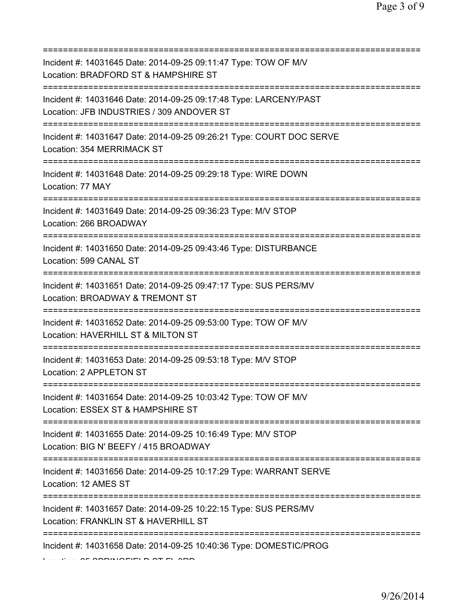| Incident #: 14031645 Date: 2014-09-25 09:11:47 Type: TOW OF M/V<br>Location: BRADFORD ST & HAMPSHIRE ST                                     |
|---------------------------------------------------------------------------------------------------------------------------------------------|
| Incident #: 14031646 Date: 2014-09-25 09:17:48 Type: LARCENY/PAST<br>Location: JFB INDUSTRIES / 309 ANDOVER ST                              |
| Incident #: 14031647 Date: 2014-09-25 09:26:21 Type: COURT DOC SERVE<br>Location: 354 MERRIMACK ST<br>===================================== |
| Incident #: 14031648 Date: 2014-09-25 09:29:18 Type: WIRE DOWN<br>Location: 77 MAY                                                          |
| Incident #: 14031649 Date: 2014-09-25 09:36:23 Type: M/V STOP<br>Location: 266 BROADWAY                                                     |
| Incident #: 14031650 Date: 2014-09-25 09:43:46 Type: DISTURBANCE<br>Location: 599 CANAL ST                                                  |
| Incident #: 14031651 Date: 2014-09-25 09:47:17 Type: SUS PERS/MV<br>Location: BROADWAY & TREMONT ST                                         |
| Incident #: 14031652 Date: 2014-09-25 09:53:00 Type: TOW OF M/V<br>Location: HAVERHILL ST & MILTON ST                                       |
| Incident #: 14031653 Date: 2014-09-25 09:53:18 Type: M/V STOP<br>Location: 2 APPLETON ST                                                    |
| Incident #: 14031654 Date: 2014-09-25 10:03:42 Type: TOW OF M/V<br>Location: ESSEX ST & HAMPSHIRE ST                                        |
| ========================<br>Incident #: 14031655 Date: 2014-09-25 10:16:49 Type: M/V STOP<br>Location: BIG N' BEEFY / 415 BROADWAY          |
| Incident #: 14031656 Date: 2014-09-25 10:17:29 Type: WARRANT SERVE<br>Location: 12 AMES ST                                                  |
| Incident #: 14031657 Date: 2014-09-25 10:22:15 Type: SUS PERS/MV<br>Location: FRANKLIN ST & HAVERHILL ST                                    |
| Incident #: 14031658 Date: 2014-09-25 10:40:36 Type: DOMESTIC/PROG                                                                          |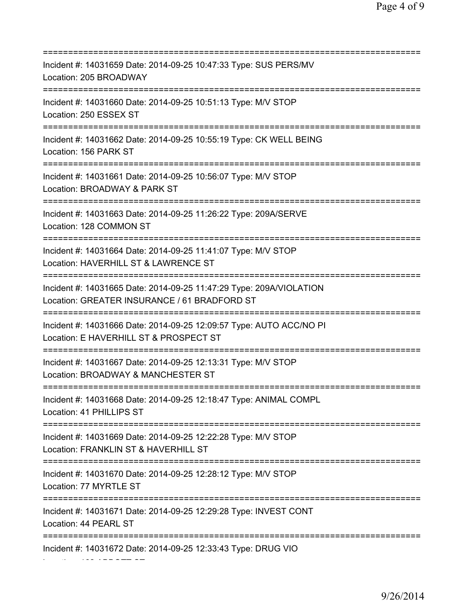=========================================================================== Incident #: 14031659 Date: 2014-09-25 10:47:33 Type: SUS PERS/MV Location: 205 BROADWAY =========================================================================== Incident #: 14031660 Date: 2014-09-25 10:51:13 Type: M/V STOP Location: 250 ESSEX ST =========================================================================== Incident #: 14031662 Date: 2014-09-25 10:55:19 Type: CK WELL BEING Location: 156 PARK ST =========================================================================== Incident #: 14031661 Date: 2014-09-25 10:56:07 Type: M/V STOP Location: BROADWAY & PARK ST =========================================================================== Incident #: 14031663 Date: 2014-09-25 11:26:22 Type: 209A/SERVE Location: 128 COMMON ST =========================================================================== Incident #: 14031664 Date: 2014-09-25 11:41:07 Type: M/V STOP Location: HAVERHILL ST & LAWRENCE ST =========================================================================== Incident #: 14031665 Date: 2014-09-25 11:47:29 Type: 209A/VIOLATION Location: GREATER INSURANCE / 61 BRADFORD ST =========================================================================== Incident #: 14031666 Date: 2014-09-25 12:09:57 Type: AUTO ACC/NO PI Location: E HAVERHILL ST & PROSPECT ST =========================================================================== Incident #: 14031667 Date: 2014-09-25 12:13:31 Type: M/V STOP Location: BROADWAY & MANCHESTER ST =========================================================================== Incident #: 14031668 Date: 2014-09-25 12:18:47 Type: ANIMAL COMPL Location: 41 PHILLIPS ST =========================================================================== Incident #: 14031669 Date: 2014-09-25 12:22:28 Type: M/V STOP Location: FRANKLIN ST & HAVERHILL ST =========================================================================== Incident #: 14031670 Date: 2014-09-25 12:28:12 Type: M/V STOP Location: 77 MYRTLE ST =========================================================================== Incident #: 14031671 Date: 2014-09-25 12:29:28 Type: INVEST CONT Location: 44 PEARL ST =========================================================================== Incident #: 14031672 Date: 2014-09-25 12:33:43 Type: DRUG VIO

Location: 162 ABBOTT ST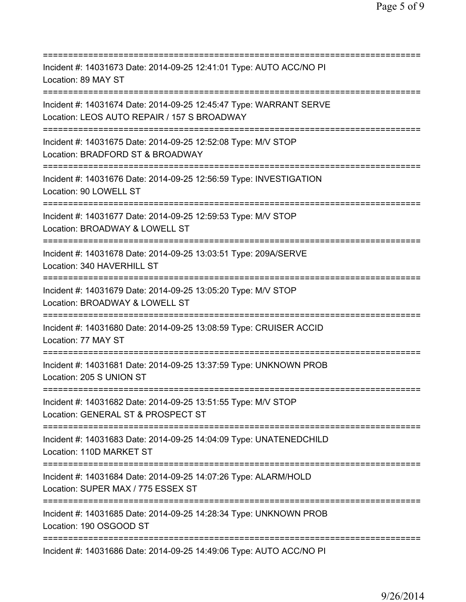| Incident #: 14031673 Date: 2014-09-25 12:41:01 Type: AUTO ACC/NO PI<br>Location: 89 MAY ST                                                    |
|-----------------------------------------------------------------------------------------------------------------------------------------------|
| Incident #: 14031674 Date: 2014-09-25 12:45:47 Type: WARRANT SERVE<br>Location: LEOS AUTO REPAIR / 157 S BROADWAY<br>======================== |
| Incident #: 14031675 Date: 2014-09-25 12:52:08 Type: M/V STOP<br>Location: BRADFORD ST & BROADWAY                                             |
| Incident #: 14031676 Date: 2014-09-25 12:56:59 Type: INVESTIGATION<br>Location: 90 LOWELL ST<br>================================              |
| Incident #: 14031677 Date: 2014-09-25 12:59:53 Type: M/V STOP<br>Location: BROADWAY & LOWELL ST<br>====================                       |
| Incident #: 14031678 Date: 2014-09-25 13:03:51 Type: 209A/SERVE<br>Location: 340 HAVERHILL ST                                                 |
| Incident #: 14031679 Date: 2014-09-25 13:05:20 Type: M/V STOP<br>Location: BROADWAY & LOWELL ST                                               |
| Incident #: 14031680 Date: 2014-09-25 13:08:59 Type: CRUISER ACCID<br>Location: 77 MAY ST                                                     |
| Incident #: 14031681 Date: 2014-09-25 13:37:59 Type: UNKNOWN PROB<br>Location: 205 S UNION ST                                                 |
| Incident #: 14031682 Date: 2014-09-25 13:51:55 Type: M/V STOP<br>Location: GENERAL ST & PROSPECT ST                                           |
| Incident #: 14031683 Date: 2014-09-25 14:04:09 Type: UNATENEDCHILD<br>Location: 110D MARKET ST                                                |
| Incident #: 14031684 Date: 2014-09-25 14:07:26 Type: ALARM/HOLD<br>Location: SUPER MAX / 775 ESSEX ST                                         |
| Incident #: 14031685 Date: 2014-09-25 14:28:34 Type: UNKNOWN PROB<br>Location: 190 OSGOOD ST                                                  |
| Incident #: 14031686 Date: 2014-09-25 14:49:06 Type: AUTO ACC/NO PI                                                                           |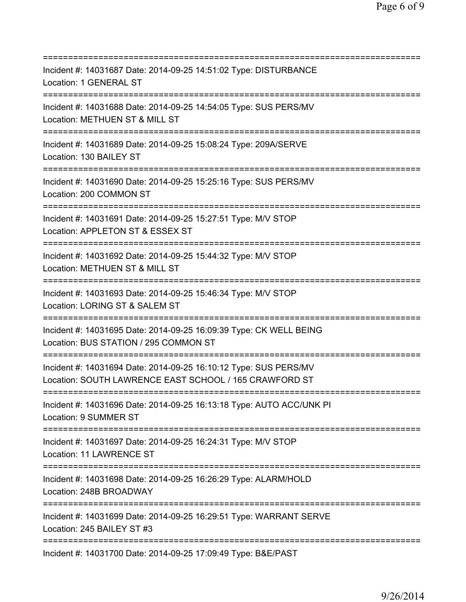| ==========================                                                                                                          |
|-------------------------------------------------------------------------------------------------------------------------------------|
| Incident #: 14031687 Date: 2014-09-25 14:51:02 Type: DISTURBANCE<br>Location: 1 GENERAL ST                                          |
| Incident #: 14031688 Date: 2014-09-25 14:54:05 Type: SUS PERS/MV<br>Location: METHUEN ST & MILL ST                                  |
| Incident #: 14031689 Date: 2014-09-25 15:08:24 Type: 209A/SERVE<br>Location: 130 BAILEY ST                                          |
| Incident #: 14031690 Date: 2014-09-25 15:25:16 Type: SUS PERS/MV<br>Location: 200 COMMON ST                                         |
| Incident #: 14031691 Date: 2014-09-25 15:27:51 Type: M/V STOP<br>Location: APPLETON ST & ESSEX ST<br>============================== |
| Incident #: 14031692 Date: 2014-09-25 15:44:32 Type: M/V STOP<br>Location: METHUEN ST & MILL ST                                     |
| Incident #: 14031693 Date: 2014-09-25 15:46:34 Type: M/V STOP<br>Location: LORING ST & SALEM ST                                     |
| Incident #: 14031695 Date: 2014-09-25 16:09:39 Type: CK WELL BEING<br>Location: BUS STATION / 295 COMMON ST                         |
| Incident #: 14031694 Date: 2014-09-25 16:10:12 Type: SUS PERS/MV<br>Location: SOUTH LAWRENCE EAST SCHOOL / 165 CRAWFORD ST          |
| Incident #: 14031696 Date: 2014-09-25 16:13:18 Type: AUTO ACC/UNK PI<br>Location: 9 SUMMER ST                                       |
| Incident #: 14031697 Date: 2014-09-25 16:24:31 Type: M/V STOP<br>Location: 11 LAWRENCE ST                                           |
| Incident #: 14031698 Date: 2014-09-25 16:26:29 Type: ALARM/HOLD<br>Location: 248B BROADWAY                                          |
| Incident #: 14031699    Date: 2014-09-25    16:29:51    Type: WARRANT    SERVE<br>Location: 245 BAILEY ST #3                        |
| Incident #: 14031700 Date: 2014-09-25 17:09:49 Type: B&E/PAST                                                                       |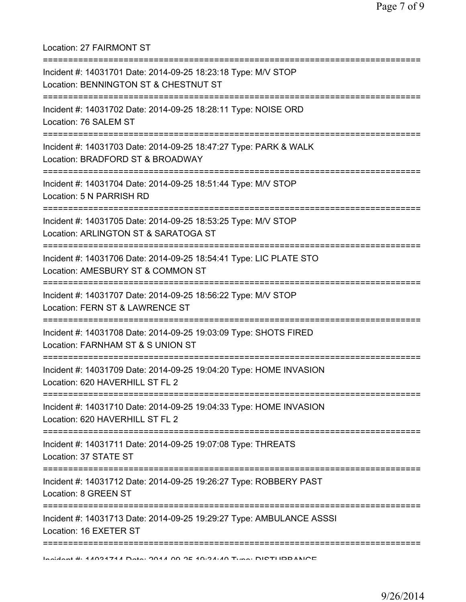| Location: 27 FAIRMONT ST                                                                                                                     |
|----------------------------------------------------------------------------------------------------------------------------------------------|
| Incident #: 14031701 Date: 2014-09-25 18:23:18 Type: M/V STOP<br>Location: BENNINGTON ST & CHESTNUT ST<br>===============================    |
| Incident #: 14031702 Date: 2014-09-25 18:28:11 Type: NOISE ORD<br>Location: 76 SALEM ST                                                      |
| Incident #: 14031703 Date: 2014-09-25 18:47:27 Type: PARK & WALK<br>Location: BRADFORD ST & BROADWAY                                         |
| Incident #: 14031704 Date: 2014-09-25 18:51:44 Type: M/V STOP<br>Location: 5 N PARRISH RD                                                    |
| ===================================<br>Incident #: 14031705 Date: 2014-09-25 18:53:25 Type: M/V STOP<br>Location: ARLINGTON ST & SARATOGA ST |
| Incident #: 14031706 Date: 2014-09-25 18:54:41 Type: LIC PLATE STO<br>Location: AMESBURY ST & COMMON ST                                      |
| Incident #: 14031707 Date: 2014-09-25 18:56:22 Type: M/V STOP<br>Location: FERN ST & LAWRENCE ST                                             |
| Incident #: 14031708 Date: 2014-09-25 19:03:09 Type: SHOTS FIRED<br>Location: FARNHAM ST & S UNION ST                                        |
| Incident #: 14031709 Date: 2014-09-25 19:04:20 Type: HOME INVASION<br>Location: 620 HAVERHILL ST FL 2                                        |
| Incident #: 14031710 Date: 2014-09-25 19:04:33 Type: HOME INVASION<br>Location: 620 HAVERHILL ST FL 2                                        |
| Incident #: 14031711 Date: 2014-09-25 19:07:08 Type: THREATS<br>Location: 37 STATE ST                                                        |
| Incident #: 14031712 Date: 2014-09-25 19:26:27 Type: ROBBERY PAST<br>Location: 8 GREEN ST                                                    |
| Incident #: 14031713 Date: 2014-09-25 19:29:27 Type: AMBULANCE ASSSI<br>Location: 16 EXETER ST                                               |
| MANING THE R. ANDRESS ON A NOTE AND ALAN TURN INCTING AND THE MANING                                                                         |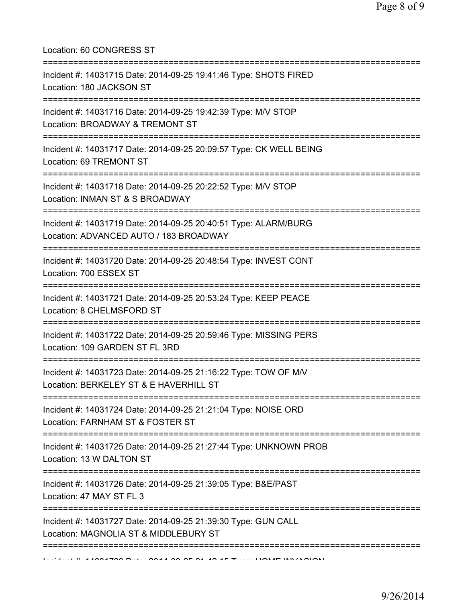Location: 60 CONGRESS ST

| Incident #: 14031715 Date: 2014-09-25 19:41:46 Type: SHOTS FIRED<br>Location: 180 JACKSON ST                                             |
|------------------------------------------------------------------------------------------------------------------------------------------|
| ====================================<br>Incident #: 14031716 Date: 2014-09-25 19:42:39 Type: M/V STOP<br>Location: BROADWAY & TREMONT ST |
| Incident #: 14031717 Date: 2014-09-25 20:09:57 Type: CK WELL BEING<br>Location: 69 TREMONT ST                                            |
| Incident #: 14031718 Date: 2014-09-25 20:22:52 Type: M/V STOP<br>Location: INMAN ST & S BROADWAY                                         |
| Incident #: 14031719 Date: 2014-09-25 20:40:51 Type: ALARM/BURG<br>Location: ADVANCED AUTO / 183 BROADWAY                                |
| Incident #: 14031720 Date: 2014-09-25 20:48:54 Type: INVEST CONT<br>Location: 700 ESSEX ST                                               |
| Incident #: 14031721 Date: 2014-09-25 20:53:24 Type: KEEP PEACE<br>Location: 8 CHELMSFORD ST                                             |
| Incident #: 14031722 Date: 2014-09-25 20:59:46 Type: MISSING PERS<br>Location: 109 GARDEN ST FL 3RD                                      |
| Incident #: 14031723 Date: 2014-09-25 21:16:22 Type: TOW OF M/V<br>Location: BERKELEY ST & E HAVERHILL ST                                |
| Incident #: 14031724 Date: 2014-09-25 21:21:04 Type: NOISE ORD<br>Location: FARNHAM ST & FOSTER ST                                       |
| Incident #: 14031725 Date: 2014-09-25 21:27:44 Type: UNKNOWN PROB<br>Location: 13 W DALTON ST                                            |
| Incident #: 14031726 Date: 2014-09-25 21:39:05 Type: B&E/PAST<br>Location: 47 MAY ST FL 3                                                |
| Incident #: 14031727 Date: 2014-09-25 21:39:30 Type: GUN CALL<br>Location: MAGNOLIA ST & MIDDLEBURY ST                                   |
|                                                                                                                                          |